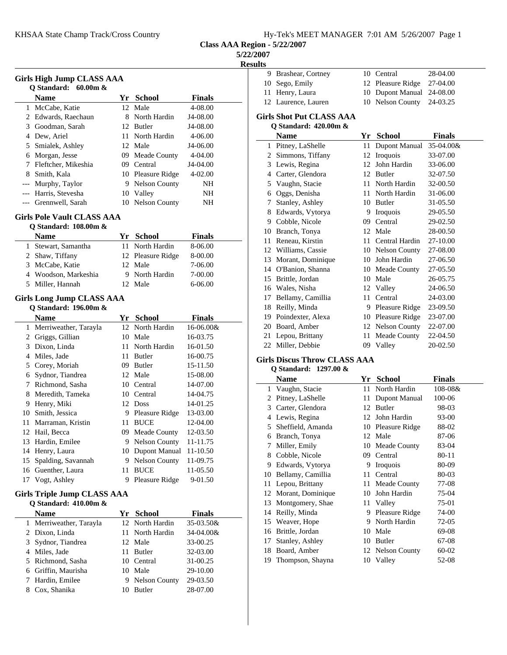L,

**Class AAA Region - 5/22/2007**

**5/22/2007**

**Results**

| <b>Girls High Jump CLASS AAA</b><br>Q Standard:<br>60.00m & |                                                    |    |                      |               |  |  |
|-------------------------------------------------------------|----------------------------------------------------|----|----------------------|---------------|--|--|
|                                                             | <b>Name</b>                                        |    | Yr School            | <b>Finals</b> |  |  |
| 1                                                           | McCabe, Katie                                      | 12 | Male                 | 4-08.00       |  |  |
|                                                             | 2 Edwards, Raechaun                                | 8  | North Hardin         | J4-08.00      |  |  |
|                                                             | 3 Goodman, Sarah                                   |    | 12 Butler            | J4-08.00      |  |  |
|                                                             | 4 Dew, Ariel                                       |    | 11 North Hardin      | 4-06.00       |  |  |
|                                                             | 5 Smialek, Ashley                                  |    | 12 Male              | J4-06.00      |  |  |
|                                                             | 6 Morgan, Jesse                                    |    | 09 Meade County      | 4-04.00       |  |  |
|                                                             | 7 Fleftcher, Mikeshia                              |    | 09 Central           | J4-04.00      |  |  |
|                                                             | 8 Smith, Kala                                      |    | 10 Pleasure Ridge    | 4-02.00       |  |  |
| $---$                                                       | Murphy, Taylor                                     |    | 9 Nelson County      | NH            |  |  |
|                                                             | --- Harris, Stevesha                               |    | 10 Valley            | NH            |  |  |
| ---                                                         | Grennwell, Sarah                                   | 10 | <b>Nelson County</b> | NΗ            |  |  |
|                                                             | <b>Girls Pole Vault CLASS AAA</b>                  |    |                      |               |  |  |
| Q Standard: 108.00m &                                       |                                                    |    |                      |               |  |  |
|                                                             | Name                                               |    | Yr School            | <b>Finals</b> |  |  |
|                                                             | 1 Stewart, Samantha                                |    | 11 North Hardin      | 8-06.00       |  |  |
|                                                             | 2 Shaw, Tiffany                                    |    | 12 Pleasure Ridge    | 8-00.00       |  |  |
|                                                             | 3 McCabe, Katie                                    |    | 12 Male              | 7-06.00       |  |  |
|                                                             | 4 Woodson, Markeshia                               |    | 9 North Hardin       | 7-00.00       |  |  |
|                                                             | 5 Miller, Hannah                                   | 12 | Male                 | 6-06.00       |  |  |
|                                                             | Girls Long Jump CLASS AAA<br>Q Standard: 196.00m & |    |                      |               |  |  |
|                                                             | <b>Name</b>                                        |    | Yr School            | Finals        |  |  |
|                                                             | 1 Merriweather, Tarayla                            |    | 12 North Hardin      | 16-06.00&     |  |  |
| 2                                                           | Griggs, Gillian                                    |    | 10 Male              | 16-03.75      |  |  |
| 3                                                           | Dixon, Linda                                       | 11 | North Hardin         | 16-01.50      |  |  |
| 4                                                           | Miles, Jade                                        |    | 11 Butler            | 16-00.75      |  |  |
|                                                             | 5 Corey, Moriah                                    |    | 09 Butler            | 15-11.50      |  |  |
| 6                                                           | Sydnor, Tiandrea                                   |    | 12 Male              | 15-08.00      |  |  |
|                                                             | 7 Richmond, Sasha                                  |    | 10 Central           | 14-07.00      |  |  |
| 8                                                           | Meredith, Tameka                                   |    | 10 Central           | 14-04.75      |  |  |
|                                                             | 9 Henry, Miki                                      |    | 12 Doss              | 14-01.25      |  |  |
|                                                             | 10 Smith, Jessica                                  |    | 9 Pleasure Ridge     | 13-03.00      |  |  |
| 11                                                          | Marraman, Kristin                                  |    | 11 BUCE              | 12-04.00      |  |  |
|                                                             | 12 Hail, Becca                                     |    | 09 Meade County      | 12-03.50      |  |  |
|                                                             | 13 Hardin, Emilee                                  |    | 9 Nelson County      | 11-11.75      |  |  |
| 14                                                          | Henry, Laura                                       |    | 10 Dupont Manual     | 11-10.50      |  |  |
| 15                                                          | Spalding, Savannah                                 |    | 9 Nelson County      | 11-09.75      |  |  |
| 16                                                          | Guenther, Laura                                    | 11 | <b>BUCE</b>          | 11-05.50      |  |  |
| 17                                                          | Vogt, Ashley                                       | 9  | Pleasure Ridge       | 9-01.50       |  |  |
|                                                             | <b>Girls Triple Jump CLASS AAA</b>                 |    |                      |               |  |  |
|                                                             | Q Standard: 410.00m &                              |    |                      |               |  |  |
|                                                             | Name                                               |    | Yr School            | <b>Finals</b> |  |  |
|                                                             | 1 Merriweather, Tarayla                            | 12 | North Hardin         | 35-03.50&     |  |  |
| 2                                                           | Dixon, Linda                                       | 11 | North Hardin         | 34-04.00&     |  |  |
| 3                                                           | Sydnor, Tiandrea                                   |    | 12 Male              | 33-00.25      |  |  |
|                                                             | 4 Miles, Jade                                      | 11 | Butler               | 32-03.00      |  |  |
|                                                             | 5 Richmond, Sasha                                  |    | 10 Central           | 31-00.25      |  |  |
| 6                                                           | Griffin, Maurisha                                  |    | 10 Male              | 29-10.00      |  |  |
|                                                             |                                                    |    |                      |               |  |  |
| 7                                                           | Hardin, Emilee                                     | 9. | <b>Nelson County</b> | 29-03.50      |  |  |

| .                                                            |                                 |    |                   |               |  |  |  |  |
|--------------------------------------------------------------|---------------------------------|----|-------------------|---------------|--|--|--|--|
| 9                                                            | Brashear, Cortney               |    | 10 Central        | 28-04.00      |  |  |  |  |
| 10                                                           | Sego, Emily                     |    | 12 Pleasure Ridge | 27-04.00      |  |  |  |  |
| 11                                                           | Henry, Laura                    | 10 | Dupont Manual     | 24-08.00      |  |  |  |  |
|                                                              | 12 Laurence, Lauren             |    | 10 Nelson County  | 24-03.25      |  |  |  |  |
|                                                              | <b>Girls Shot Put CLASS AAA</b> |    |                   |               |  |  |  |  |
|                                                              | <b>Q</b> Standard: 420.00m &    |    |                   |               |  |  |  |  |
|                                                              | <b>Name</b>                     | Yr | <b>School</b>     | <b>Finals</b> |  |  |  |  |
|                                                              | 1 Pitney, LaShelle              | 11 | Dupont Manual     | 35-04.00&     |  |  |  |  |
|                                                              | 2 Simmons, Tiffany              |    | 12 Iroquois       | 33-07.00      |  |  |  |  |
|                                                              | 3 Lewis, Regina                 | 12 | John Hardin       | 33-06.00      |  |  |  |  |
| 4                                                            | Carter, Glendora                |    | 12 Butler         | 32-07.50      |  |  |  |  |
|                                                              | 5 Vaughn, Stacie                |    | 11 North Hardin   | 32-00.50      |  |  |  |  |
| 6                                                            | Oggs, Denisha                   |    | 11 North Hardin   | 31-06.00      |  |  |  |  |
| 7                                                            | Stanley, Ashley                 |    | 10 Butler         | 31-05.50      |  |  |  |  |
|                                                              | 8 Edwards, Vytorya              |    | 9 Iroquois        | 29-05.50      |  |  |  |  |
|                                                              | 9 Cobble, Nicole                |    | 09 Central        | 29-02.50      |  |  |  |  |
| 10                                                           | Branch, Tonya                   |    | 12 Male           | 28-00.50      |  |  |  |  |
| 11                                                           | Reneau, Kirstin                 | 11 | Central Hardin    | 27-10.00      |  |  |  |  |
|                                                              | 12 Williams, Cassie             |    | 10 Nelson County  | 27-08.00      |  |  |  |  |
| 13                                                           | Morant, Dominique               |    | 10 John Hardin    | 27-06.50      |  |  |  |  |
|                                                              | 14 O'Banion, Shanna             |    | 10 Meade County   | 27-05.50      |  |  |  |  |
| 15                                                           | Brittle, Jordan                 |    | 10 Male           | 26-05.75      |  |  |  |  |
|                                                              | 16 Wales, Nisha                 |    | 12 Valley         | 24-06.50      |  |  |  |  |
| 17                                                           | Bellamy, Camillia               | 11 | Central           | 24-03.00      |  |  |  |  |
| 18                                                           | Reilly, Minda                   |    | 9 Pleasure Ridge  | 23-09.50      |  |  |  |  |
|                                                              | 19 Poindexter, Alexa            |    | 10 Pleasure Ridge | 23-07.00      |  |  |  |  |
|                                                              | 20 Board, Amber                 |    | 12 Nelson County  | 22-07.00      |  |  |  |  |
| 21                                                           | Lepou, Brittany                 |    | 11 Meade County   | 22-04.50      |  |  |  |  |
| 22                                                           | Miller, Debbie                  |    | 09 Valley         | 20-02.50      |  |  |  |  |
| <b>Girls Discus Throw CLASS AAA</b><br>O Standard: 1297.00 & |                                 |    |                   |               |  |  |  |  |

 $\overline{\phantom{0}}$ 

|    | Name                 | Yr  | School               | Finals  |
|----|----------------------|-----|----------------------|---------|
| 1  | Vaughn, Stacie       | 11  | North Hardin         | 108-08& |
| 2  | Pitney, LaShelle     | 11  | <b>Dupont Manual</b> | 100-06  |
| 3  | Carter, Glendora     | 12  | <b>Butler</b>        | 98-03   |
| 4  | Lewis, Regina        | 12  | John Hardin          | 93-00   |
| 5  | Sheffield, Amanda    |     | 10 Pleasure Ridge    | 88-02   |
| 6  | Branch, Tonya        |     | 12 Male              | 87-06   |
| 7  | Miller, Emily        | 10  | Meade County         | 83-04   |
| 8  | Cobble, Nicole       | 09  | Central              | 80-11   |
| 9  | Edwards, Vytorya     | 9   | Iroquois             | 80-09   |
| 10 | Bellamy, Camillia    | 11  | Central              | 80-03   |
| 11 | Lepou, Brittany      | 11- | Meade County         | 77-08   |
|    | 12 Morant, Dominique | 10  | John Hardin          | 75-04   |
| 13 | Montgomery, Shae.    |     | 11 Valley            | 75-01   |
| 14 | Reilly, Minda        | 9.  | Pleasure Ridge       | 74-00   |
| 15 | Weaver, Hope         | 9   | North Hardin         | 72-05   |
| 16 | Brittle, Jordan      | 10  | Male                 | 69-08   |
| 17 | Stanley, Ashley      | 10  | Butler               | 67-08   |
| 18 | Board, Amber         |     | 12 Nelson County     | 60-02   |
|    | 19 Thompson, Shayna  |     | 10 Valley            | 52-08   |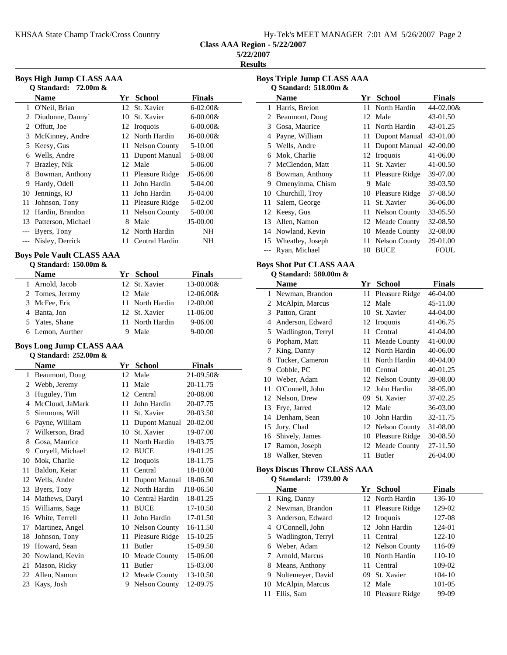|  |  |  |  | Hy-Tek's MEET MANAGER 7:01 AM 5/26/2007 Page 2 |  |  |  |
|--|--|--|--|------------------------------------------------|--|--|--|
|--|--|--|--|------------------------------------------------|--|--|--|

**Class AAA Region - 5/22/2007**

**5/22/2007**

**Results**

| Boys High Jump CLASS AAA<br>O Standard: $72.00m$ & |                    |    |                 |               |  |  |  |  |
|----------------------------------------------------|--------------------|----|-----------------|---------------|--|--|--|--|
|                                                    | <b>Name</b>        | Yr | <b>School</b>   | <b>Finals</b> |  |  |  |  |
| 1                                                  | O'Neil, Brian      |    | 12 St. Xavier   | $6 - 02.00 &$ |  |  |  |  |
| 2                                                  | Diudonne, Danny    | 10 | St. Xavier      | $6 - 00.00 &$ |  |  |  |  |
| 2                                                  | Offutt, Joe        | 12 | Iroquois        | $6 - 00.00 &$ |  |  |  |  |
| 3                                                  | McKinney, Andre    |    | 12 North Hardin | J6-00.00&     |  |  |  |  |
| 5                                                  | Keesy, Gus         | 11 | Nelson County   | $5 - 10.00$   |  |  |  |  |
| 6                                                  | Wells, Andre       | 11 | Dupont Manual   | 5-08.00       |  |  |  |  |
| 7                                                  | Brazley, Nik       | 12 | Male            | 5-06.00       |  |  |  |  |
| 8                                                  | Bowman, Anthony    | 11 | Pleasure Ridge  | J5-06.00      |  |  |  |  |
| 9                                                  | Hardy, Odell       | 11 | John Hardin     | 5-04.00       |  |  |  |  |
| 10                                                 | Jennings, RJ       | 11 | John Hardin     | $J5-04.00$    |  |  |  |  |
| 11                                                 | Johnson, Tony      | 11 | Pleasure Ridge  | 5-02.00       |  |  |  |  |
| 12                                                 | Hardin, Brandon    | 11 | Nelson County   | 5-00.00       |  |  |  |  |
| 13                                                 | Patterson, Michael | 8  | Male            | $J5-00.00$    |  |  |  |  |
| ---                                                | Byers, Tony        |    | 12 North Hardin | NΗ            |  |  |  |  |
| $---$                                              | Nisley, Derrick    | 11 | Central Hardin  | NΗ            |  |  |  |  |

# **Boys Pole Vault CLASS AAA**

| <b>Name</b>      | Yr School       | <b>Finals</b> |
|------------------|-----------------|---------------|
| 1 Arnold, Jacob  | 12 St. Xavier   | 13-00.00&     |
| 2 Tomes, Jeremy  | 12 Male         | 12-06.00&     |
| 3 McFee, Eric    | 11 North Hardin | 12-00.00      |
| 4 Banta, Jon     | 12 St. Xavier   | 11-06.00      |
| 5 Yates, Shane   | 11 North Hardin | $9 - 06.00$   |
| 6 Lemon, Aurther | Male            | $9 - 00.00$   |

## **Boys Long Jump CLASS AAA**

## **Q Standard: 252.00m &**

| Name             | Yr | <b>School</b>        | <b>Finals</b>   |
|------------------|----|----------------------|-----------------|
| Beaumont, Doug   | 12 | Male                 | 21-09.50&       |
| Webb, Jeremy     | 11 | Male                 | 20-11.75        |
| Huguley, Tim     | 12 | Central              | 20-08.00        |
| McCloud, JaMark  | 11 | John Hardin          | 20-07.75        |
| Simmons, Will    | 11 | St. Xavier           | 20-03.50        |
| Payne, William   | 11 | Dupont Manual        | 20-02.00        |
| Wilkerson, Brad  | 10 | St. Xavier           | 19-07.00        |
| Gosa, Maurice    | 11 | North Hardin         | 19-03.75        |
| Coryell, Michael | 12 | <b>BUCE</b>          | 19-01.25        |
| Mok, Charlie     | 12 | Iroquois             | 18-11.75        |
| Baldon, Keiar    | 11 | Central              | 18-10.00        |
| Wells, Andre     | 11 | Dupont Manual        | 18-06.50        |
| Byers, Tony      | 12 | North Hardin         | J18-06.50       |
| Mathews, Daryl   | 10 | Central Hardin       | 18-01.25        |
| Williams, Sage   | 11 | <b>BUCE</b>          | 17-10.50        |
| White, Terrell   | 11 | John Hardin          | 17-01.50        |
| Martinez, Angel  | 10 | <b>Nelson County</b> | 16-11.50        |
| Johnson, Tony    | 11 | Pleasure Ridge       | 15-10.25        |
| Howard, Sean     | 11 | <b>Butler</b>        | 15-09.50        |
| Nowland, Kevin   | 10 | Meade County         | 15-06.00        |
| Mason, Ricky     | 11 | Butler               | 15-03.00        |
| Allen, Namon     |    |                      | 13-10.50        |
| Kays, Josh       | 9  | <b>Nelson County</b> | 12-09.75        |
|                  |    |                      | 12 Meade County |

| <b>Boys Triple Jump CLASS AAA</b><br>Q Standard: 518.00m & |                     |     |                               |              |  |  |  |
|------------------------------------------------------------|---------------------|-----|-------------------------------|--------------|--|--|--|
|                                                            | Name                | Yr  | School                        | Finals       |  |  |  |
| 1                                                          | Harris, Breion      | 11  | North Hardin                  | 44-02.00&    |  |  |  |
| 2                                                          | Beaumont, Doug      | 12. | Male                          | 43-01.50     |  |  |  |
| 3                                                          | Gosa, Maurice       | 11  | North Hardin                  | 43-01.25     |  |  |  |
| 4                                                          | Payne, William      | 11  | Dupont Manual                 | 43-01.00     |  |  |  |
| 5                                                          | Wells, Andre        | 11  | Dupont Manual                 | $42 - 00.00$ |  |  |  |
| 6                                                          | Mok, Charlie        | 12  | <i><u><b>Iroquois</b></u></i> | 41-06.00     |  |  |  |
| 7                                                          | McClendon, Matt     | 11  | St. Xavier                    | 41-00.50     |  |  |  |
| 8                                                          | Bowman, Anthony     | 11  | Pleasure Ridge                | 39-07.00     |  |  |  |
| 9                                                          | Omenyinma, Chism    | 9   | Male                          | 39-03.50     |  |  |  |
| 10                                                         | Churchill, Troy     |     | 10 Pleasure Ridge             | 37-08.50     |  |  |  |
| 11                                                         | Salem, George       | 11. | St. Xavier                    | 36-06.00     |  |  |  |
| 12                                                         | Keesy, Gus          | 11  | <b>Nelson County</b>          | 33-05.50     |  |  |  |
| 13                                                         | Allen, Namon        |     | 12 Meade County               | 32-08.50     |  |  |  |
|                                                            | 14 Nowland, Kevin   | 10  | Meade County                  | 32-08.00     |  |  |  |
|                                                            | 15 Wheatley, Joseph | 11  | <b>Nelson County</b>          | 29-01.00     |  |  |  |
|                                                            | Ryan, Michael       | 10  | <b>BUCE</b>                   | FOUL         |  |  |  |

## **Boys Shot Put CLASS AAA**

## **Q Standard: 580.00m &**

|    | Name               | Yr | <b>School</b>    | <b>Finals</b> |
|----|--------------------|----|------------------|---------------|
| 1  | Newman, Brandon    | 11 | Pleasure Ridge   | 46-04.00      |
| 2  | McAlpin, Marcus    | 12 | Male             | 45-11.00      |
| 3  | Patton, Grant      | 10 | St. Xavier       | 44-04.00      |
| 4  | Anderson, Edward   |    | 12 Iroquois      | 41-06.75      |
| 5  | Wadlington, Terryl | 11 | Central          | 41-04.00      |
| 6  | Popham, Matt       | 11 | Meade County     | 41-00.00      |
| 7  | King, Danny        |    | 12 North Hardin  | 40-06.00      |
| 8  | Tucker, Cameron    | 11 | North Hardin     | 40-04.00      |
| 9  | Cobble, PC         | 10 | Central          | 40-01.25      |
| 10 | Weber, Adam        |    | 12 Nelson County | 39-08.00      |
| 11 | O'Connell, John    | 12 | John Hardin      | 38-05.00      |
| 12 | Nelson, Drew       | 09 | St. Xavier       | 37-02.25      |
| 13 | Frye, Jarred       |    | 12 Male          | 36-03.00      |
| 14 | Denham, Sean       | 10 | John Hardin      | 32-11.75      |
| 15 | Jury, Chad         |    | 12 Nelson County | 31-08.00      |
| 16 | Shively, James     | 10 | Pleasure Ridge   | 30-08.50      |
| 17 | Ramon, Joseph      | 12 | Meade County     | 27-11.50      |
| 18 | Walker, Steven     | 11 | Butler           | 26-04.00      |

#### **Boys Discus Throw CLASS AAA**

|    | O Standard: 1739.00 & |    |                   |               |
|----|-----------------------|----|-------------------|---------------|
|    | <b>Name</b>           | Yr | School            | <b>Finals</b> |
| 1. | King, Danny           |    | 12 North Hardin   | 136-10        |
|    | 2 Newman, Brandon     |    | 11 Pleasure Ridge | 129-02        |
|    | 3 Anderson, Edward    |    | 12 Iroquois       | 127-08        |
|    | 4 O'Connell, John     |    | 12 John Hardin    | 124-01        |
|    | 5 Wadlington, Terryl  |    | 11 Central        | $122 - 10$    |
|    | 6 Weber, Adam         |    | 12 Nelson County  | 116-09        |
|    | 7 Arnold, Marcus      |    | 10 North Hardin   | 110-10        |
| 8. | Means, Anthony        |    | 11 Central        | 109-02        |
|    | 9 Noltemeyer, David   |    | 09 St. Xavier     | 104-10        |
|    | 10 McAlpin, Marcus    |    | 12 Male           | 101-05        |
|    | Ellis, Sam            |    | 10 Pleasure Ridge | 99-09         |